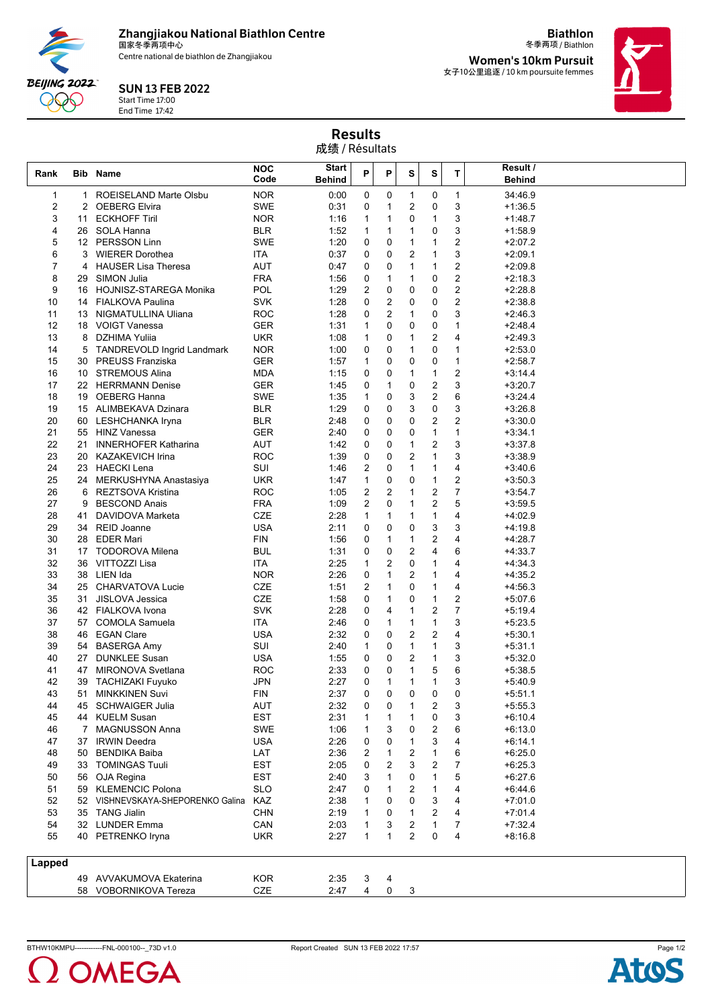**Zhangjiakou National Biathlon Centre** 国家冬季两项中心

Centre national de biathlon de Zhangjiakou



## SUN 13 FEB 2022

Start Time 17:00 End Time 17:42

冬季两项 / Biathlon **Women's 10km Pursuit** 女子10公里追逐 / 10 km poursuite femmes

**Biathlon**



Results 成绩 / Résultats

| Rank   |             | <b>Bib Name</b>                   | <b>NOC</b><br>Code | Start<br><b>Behind</b> | P            | P              | s            | s              | т                       | Result /<br><b>Behind</b> |
|--------|-------------|-----------------------------------|--------------------|------------------------|--------------|----------------|--------------|----------------|-------------------------|---------------------------|
|        |             |                                   |                    |                        |              |                |              |                |                         |                           |
| 1      | 1.          | <b>ROEISELAND Marte Olsbu</b>     | <b>NOR</b>         | 0:00                   | 0            | 0              | 1            | 0              | $\mathbf{1}$            | 34:46.9                   |
| 2      | 2           | <b>OEBERG Elvira</b>              | <b>SWE</b>         | 0:31                   | 0            | 1              | 2            | 0<br>1         | 3                       | $+1:36.5$                 |
| 3      | 11          | <b>ECKHOFF Tiril</b>              | <b>NOR</b>         | 1:16                   | $\mathbf{1}$ | 1              | 0            |                | 3                       | $+1:48.7$                 |
| 4<br>5 | 26<br>12    | SOLA Hanna<br><b>PERSSON Linn</b> | BLR<br><b>SWE</b>  | 1:52<br>1:20           | 1<br>0       | 1<br>0         | 1<br>1       | 0<br>1         | 3<br>$\overline{c}$     | $+1:58.9$<br>$+2:07.2$    |
| 6      | 3           | <b>WIERER Dorothea</b>            | ITA                | 0:37                   | 0            | 0              | 2            | 1              | 3                       | $+2:09.1$                 |
| 7      | 4           | <b>HAUSER Lisa Theresa</b>        | AUT                | 0:47                   | 0            | 0              | 1            | $\mathbf{1}$   | $\overline{2}$          | $+2:09.8$                 |
| 8      | 29          | SIMON Julia                       | <b>FRA</b>         | 1:56                   | 0            | 1              | 1            | 0              | $\overline{\mathbf{c}}$ | $+2:18.3$                 |
| 9      |             | 16 HOJNISZ-STAREGA Monika         | POL                | 1:29                   | 2            | 0              | 0            | 0              | $\overline{c}$          | $+2:28.8$                 |
| 10     |             | 14 FIALKOVA Paulina               | <b>SVK</b>         | 1:28                   | 0            | $\overline{c}$ | 0            | 0              | $\overline{c}$          | $+2:38.8$                 |
| 11     | 13          | NIGMATULLINA Uliana               | ROC                | 1:28                   | 0            | 2              | 1            | 0              | 3                       | $+2:46.3$                 |
| 12     |             | 18 VOIGT Vanessa                  | GER                | 1:31                   | 1            | 0              | 0            | 0              | 1                       | $+2:48.4$                 |
| 13     | 8           | DZHIMA Yuliia                     | <b>UKR</b>         | 1:08                   | 1            | 0              | 1            | 2              | 4                       | $+2:49.3$                 |
| 14     | 5           | <b>TANDREVOLD Ingrid Landmark</b> | <b>NOR</b>         | 1:00                   | 0            | 0              | 1            | 0              | 1                       | $+2:53.0$                 |
| 15     |             | 30 PREUSS Franziska               | GER                | 1:57                   | 1            | 0              | 0            | 0              | $\mathbf{1}$            | $+2:58.7$                 |
| 16     | 10          | <b>STREMOUS Alina</b>             | MDA                | 1:15                   | 0            | 0              | $\mathbf{1}$ | 1              | $\overline{c}$          | $+3:14.4$                 |
| 17     | 22          | <b>HERRMANN Denise</b>            | GER                | 1:45                   | 0            | 1              | 0            | 2              | 3                       | $+3:20.7$                 |
| 18     | 19          | <b>OEBERG Hanna</b>               | SWE                | 1:35                   | 1            | 0              | 3            | 2              | 6                       | $+3:24.4$                 |
| 19     |             | 15 ALIMBEKAVA Dzinara             | BLR                | 1:29                   | 0            | 0              | 3            | 0              | 3                       | $+3:26.8$                 |
| 20     | 60          | LESHCHANKA Iryna                  | BLR                | 2:48                   | 0            | 0              | 0            | $\overline{2}$ | $\overline{2}$          | $+3:30.0$                 |
| 21     |             | 55 HINZ Vanessa                   | GER                | 2:40                   | 0            | 0              | 0            | $\mathbf{1}$   | 1                       | $+3:34.1$                 |
| 22     | 21          | <b>INNERHOFER Katharina</b>       | AUT                | 1:42                   | 0            | 0              | 1            | 2              | 3                       | $+3:37.8$                 |
| 23     | 20          | <b>KAZAKEVICH Irina</b>           | <b>ROC</b>         | 1:39                   | 0            | 0              | 2            | $\mathbf{1}$   | 3                       | $+3:38.9$                 |
| 24     |             | 23 HAECKI Lena                    | SUI                | 1:46                   | 2            | 0              | 1            | 1              | 4                       | $+3:40.6$                 |
| 25     | 24          | MERKUSHYNA Anastasiya             | <b>UKR</b>         | 1:47                   | 1            | 0              | 0            | $\mathbf{1}$   | $\overline{c}$          | $+3:50.3$                 |
| 26     | 6           | REZTSOVA Kristina                 | ROC                | 1:05                   | 2            | 2              | 1            | $\overline{2}$ | 7                       | $+3:54.7$                 |
| 27     | 9           | <b>BESCOND Anais</b>              | FRA                | 1:09                   | 2            | 0              | 1            | 2              | 5                       | $+3:59.5$                 |
| 28     | 41          | DAVIDOVA Marketa                  | <b>CZE</b>         | 2:28                   | 1            | 1              | 1            | 1              | 4                       | $+4:02.9$                 |
| 29     |             | 34 REID Joanne                    | <b>USA</b>         | 2:11                   | 0            | 0              | 0            | 3              | 3                       | $+4:19.8$                 |
| 30     | 28          | <b>EDER Mari</b>                  | FIN                | 1:56                   | 0            | 1              | 1            | 2              | 4                       | $+4:28.7$                 |
| 31     | 17          | <b>TODOROVA Milena</b>            | <b>BUL</b>         | 1:31                   | 0            | 0              | 2            | 4              | 6                       | $+4:33.7$                 |
| 32     | 36          | VITTOZZI Lisa                     | ITA.               | 2:25                   | 1            | 2              | 0            | 1              | 4                       | $+4:34.3$                 |
| 33     |             | 38 LIEN Ida                       | <b>NOR</b>         | 2:26                   | 0            | 1              | 2            | 1              | 4                       | $+4:35.2$                 |
| 34     | 25          | <b>CHARVATOVA Lucie</b>           | CZE                | 1:51                   | 2            | 1              | 0            | 1              | 4                       | $+4:56.3$                 |
| 35     | 31          | <b>JISLOVA Jessica</b>            | <b>CZE</b>         | 1:58                   | 0            | 1              | 0            | 1              | $\overline{c}$          | $+5:07.6$                 |
| 36     |             | 42 FIALKOVA Ivona                 | <b>SVK</b>         | 2:28                   | 0            | 4              | 1            | 2              | 7                       | $+5:19.4$                 |
| 37     | 57          | <b>COMOLA Samuela</b>             | ITA                | 2:46                   | 0            | 1              | 1            | $\mathbf{1}$   | 3                       | $+5:23.5$                 |
| 38     |             | 46 EGAN Clare                     | <b>USA</b>         | 2:32                   | 0            | 0              | 2            | 2              | 4                       | $+5:30.1$                 |
| 39     | 54          | <b>BASERGA Amy</b>                | SUI                | 2:40                   | 1            | 0              | $\mathbf{1}$ | 1              | 3                       | $+5:31.1$                 |
| 40     | 27          | <b>DUNKLEE Susan</b>              | USA                | 1:55                   | 0            | 0              | 2            | $\mathbf{1}$   | 3                       | $+5:32.0$                 |
| 41     | 47          | <b>MIRONOVA Svetlana</b>          | ROC                | 2:33                   | 0            | 0              | 1            | 5              | 6                       | $+5:38.5$                 |
| 42     | 39          | <b>TACHIZAKI Fuyuko</b>           | JPN                | 2:27                   | 0            | 1              | 1            | 1              | 3                       | $+5:40.9$                 |
| 43     | 51          | <b>MINKKINEN Suvi</b>             | FIN                | 2:37                   | 0            | 0              | 0            | 0              | 0                       | $+5:51.1$                 |
| 44     | 45          | <b>SCHWAIGER Julia</b>            | <b>AUT</b>         | 2:32                   | 0            | 0              | 1            | 2              | 3                       | $+5:55.3$                 |
| 45     |             | 44 KUELM Susan                    | <b>EST</b>         | 2:31                   | 1            | 1              | 1            | 0              | 3                       | $+6:10.4$                 |
| 46     | $7^{\circ}$ | <b>MAGNUSSON Anna</b>             | SWE                | 1:06                   | 1            | 3              | 0            | 2              | 6                       | $+6:13.0$                 |
| 47     | 37          | <b>IRWIN Deedra</b>               | <b>USA</b>         | 2:26                   | 0            | 0              | 1            | 3              | 4                       | $+6:14.1$                 |
| 48     |             | 50 BENDIKA Baiba                  | LAT                | 2:36                   | 2            | $\mathbf{1}$   | 2            | $\mathbf{1}$   | 6                       | $+6:25.0$                 |
| 49     | 33          | <b>TOMINGAS Tuuli</b>             | <b>EST</b>         | 2:05                   | 0            | 2              | 3            | 2              | 7                       | $+6:25.3$                 |
| 50     |             | 56 OJA Regina                     | EST                | 2:40                   | 3            | 1              | 0            | 1              | 5                       | $+6:27.6$                 |
| 51     |             | 59 KLEMENCIC Polona               | <b>SLO</b>         | 2:47                   | 0            | 1              | 2            | 1              | 4                       | $+6:44.6$                 |
| 52     |             | 52 VISHNEVSKAYA-SHEPORENKO Galina | KAZ                | 2:38                   | $\mathbf{1}$ | 0              | 0            | 3              | 4                       | $+7:01.0$                 |
| 53     |             | 35 TANG Jialin                    | <b>CHN</b>         | 2:19                   | 1            | 0              | 1            | 2              | 4                       | $+7:01.4$                 |
| 54     |             | 32 LUNDER Emma                    | CAN                | 2:03                   | 1            | 3              | 2            | $\mathbf{1}$   | 7                       | $+7:32.4$                 |
| 55     |             | 40 PETRENKO Iryna                 | <b>UKR</b>         | 2:27                   | 1            | $\mathbf{1}$   | 2            | $\mathbf 0$    | 4                       | $+8:16.8$                 |
|        |             |                                   |                    |                        |              |                |              |                |                         |                           |
| Lapped |             |                                   |                    |                        |              |                |              |                |                         |                           |
|        |             | 49 AVVAKUMOVA Ekaterina           | <b>KOR</b>         | 2:35                   | 3            | 4              |              |                |                         |                           |
|        |             | 58 VOBORNIKOVA Tereza             | CZE                | 2:47                   | 4            | 0              | 3            |                |                         |                           |
|        |             |                                   |                    |                        |              |                |              |                |                         |                           |